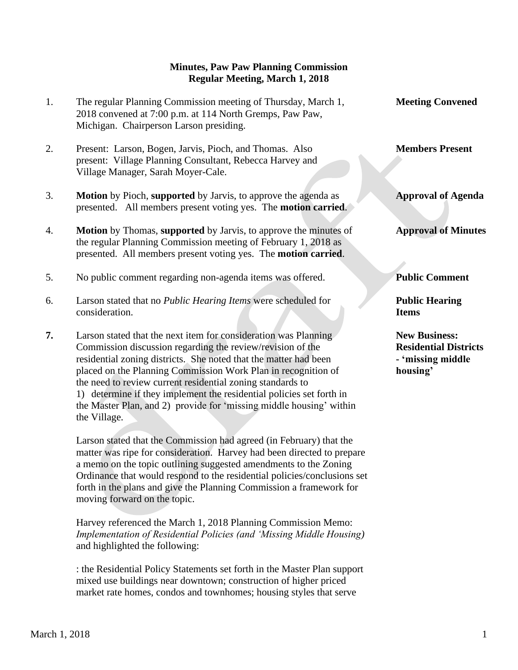## **Minutes, Paw Paw Planning Commission Regular Meeting, March 1, 2018**

- 1. The regular Planning Commission meeting of Thursday, March 1, **Meeting Convened** 2018 convened at 7:00 p.m. at 114 North Gremps, Paw Paw, Michigan. Chairperson Larson presiding.
- 2. Present: Larson, Bogen, Jarvis, Pioch, and Thomas. Also **Members Present** present: Village Planning Consultant, Rebecca Harvey and Village Manager, Sarah Moyer-Cale.
- 3. **Motion** by Pioch, **supported** by Jarvis, to approve the agenda as **Approval of Agenda** presented. All members present voting yes. The **motion carried**.
- 4. **Motion** by Thomas, **supported** by Jarvis, to approve the minutes of **Approval of Minutes** the regular Planning Commission meeting of February 1, 2018 as presented. All members present voting yes. The **motion carried**.
- 5. No public comment regarding non-agenda items was offered. **Public Comment**
- 6. Larson stated that no *Public Hearing Items* were scheduled for **Public Hearing**  *consideration.* **Items**
- **7.** Larson stated that the next item for consideration was Planning **New Business:**  Commission discussion regarding the review/revision of the **Residential Districts** residential zoning districts. She noted that the matter had been **- 'missing middle** placed on the Planning Commission Work Plan in recognition of **housing'** the need to review current residential zoning standards to 1) determine if they implement the residential policies set forth in the Master Plan, and 2) provide for 'missing middle housing' within the Village.

 Larson stated that the Commission had agreed (in February) that the matter was ripe for consideration. Harvey had been directed to prepare a memo on the topic outlining suggested amendments to the Zoning Ordinance that would respond to the residential policies/conclusions set forth in the plans and give the Planning Commission a framework for moving forward on the topic.

 Harvey referenced the March 1, 2018 Planning Commission Memo: *Implementation of Residential Policies (and 'Missing Middle Housing)* and highlighted the following:

 : the Residential Policy Statements set forth in the Master Plan support mixed use buildings near downtown; construction of higher priced market rate homes, condos and townhomes; housing styles that serve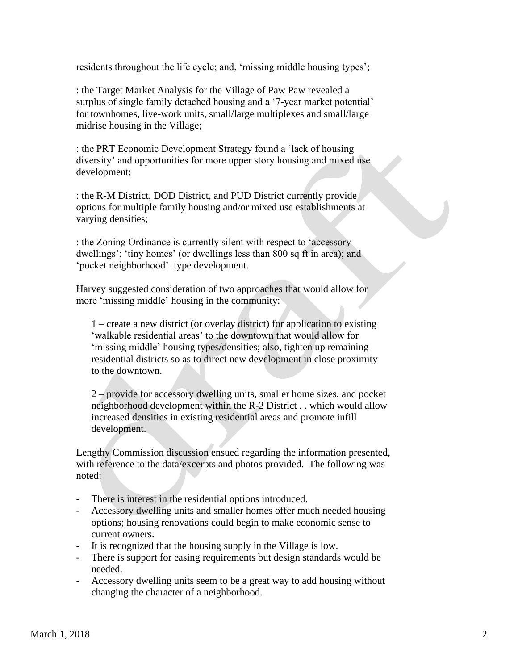residents throughout the life cycle; and, 'missing middle housing types';

 : the Target Market Analysis for the Village of Paw Paw revealed a surplus of single family detached housing and a '7-year market potential' for townhomes, live-work units, small/large multiplexes and small/large midrise housing in the Village;

 : the PRT Economic Development Strategy found a 'lack of housing diversity' and opportunities for more upper story housing and mixed use development;

 : the R-M District, DOD District, and PUD District currently provide options for multiple family housing and/or mixed use establishments at varying densities;

 : the Zoning Ordinance is currently silent with respect to 'accessory dwellings'; 'tiny homes' (or dwellings less than 800 sq ft in area); and 'pocket neighborhood'–type development.

Harvey suggested consideration of two approaches that would allow for more 'missing middle' housing in the community:

1 – create a new district (or overlay district) for application to existing 'walkable residential areas' to the downtown that would allow for 'missing middle' housing types/densities; also, tighten up remaining residential districts so as to direct new development in close proximity to the downtown.

2 – provide for accessory dwelling units, smaller home sizes, and pocket neighborhood development within the R-2 District . . which would allow increased densities in existing residential areas and promote infill development.

Lengthy Commission discussion ensued regarding the information presented, with reference to the data/excerpts and photos provided. The following was noted:

- There is interest in the residential options introduced.
- Accessory dwelling units and smaller homes offer much needed housing options; housing renovations could begin to make economic sense to current owners.
- It is recognized that the housing supply in the Village is low.
- There is support for easing requirements but design standards would be needed.
- Accessory dwelling units seem to be a great way to add housing without changing the character of a neighborhood.